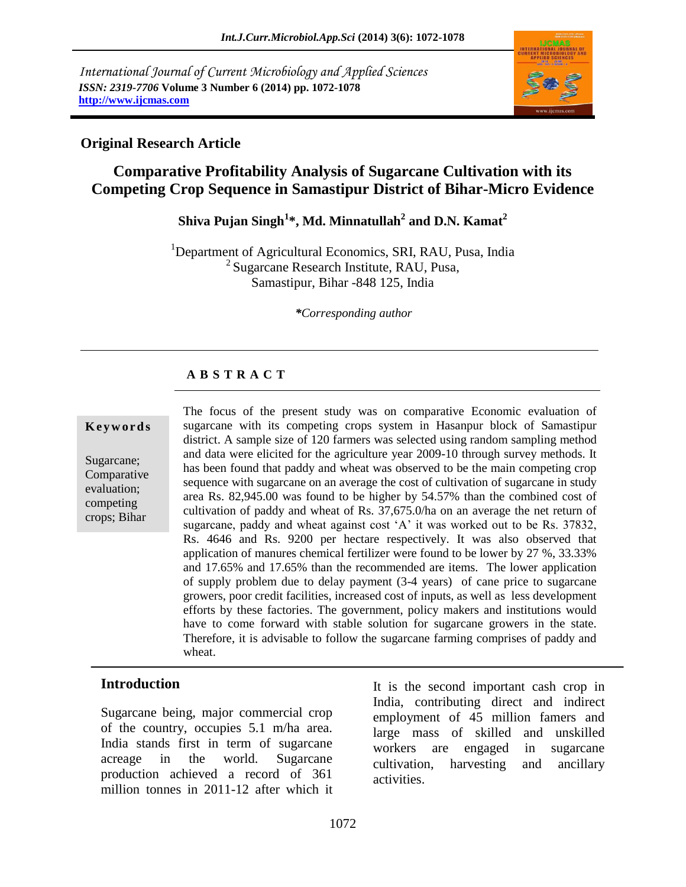*International Journal of Current Microbiology and Applied Sciences ISSN: 2319-7706* **Volume 3 Number 6 (2014) pp. 1072-1078 http://www.ijcmas.com**



## **Original Research Article**

# **Comparative Profitability Analysis of Sugarcane Cultivation with its Competing Crop Sequence in Samastipur District of Bihar-Micro Evidence**

**Shiva Pujan Singh<sup>1</sup> \*, Md. Minnatullah<sup>2</sup> and D.N. Kamat<sup>2</sup>**

<sup>1</sup>Department of Agricultural Economics, SRI, RAU, Pusa, India <sup>2</sup> Sugarcane Research Institute, RAU, Pusa, Samastipur, Bihar -848 125, India

*\*Corresponding author* 

## **A B S T R A C T**

#### **K e y w o r d s**

Sugarcane; Comparative evaluation; competing crops; Bihar

sugarcane, paddy and wheat against cost  $\overline{A}$  it was worked out to be Ks. 57652, Rs. 4646 and Rs. 9200 per hectare respectively. It was also observed that The focus of the present study was on comparative Economic evaluation of sugarcane with its competing crops system in Hasanpur block of Samastipur district. A sample size of 120 farmers was selected using random sampling method and data were elicited for the agriculture year 2009-10 through survey methods. It has been found that paddy and wheat was observed to be the main competing crop sequence with sugarcane on an average the cost of cultivation of sugarcane in study area Rs. 82,945.00 was found to be higher by 54.57% than the combined cost of cultivation of paddy and wheat of Rs. 37,675.0/ha on an average the net return of sugarcane, paddy and wheat against cost 'A' it was worked out to be Rs. 37832, application of manures chemical fertilizer were found to be lower by 27 %, 33.33% and 17.65% and 17.65% than the recommended are items. The lower application of supply problem due to delay payment (3-4 years) of cane price to sugarcane growers, poor credit facilities, increased cost of inputs, as well as less development efforts by these factories. The government, policy makers and institutions would have to come forward with stable solution for sugarcane growers in the state. Therefore, it is advisable to follow the sugarcane farming comprises of paddy and wheat.

## **Introduction**

Sugarcane being, major commercial crop of the country, occupies 5.1 m/ha area. India stands first in term of sugarcane acreage in the world. Sugarcane production achieved a record of 361 million tonnes in 2011-12 after which it It is the second important cash crop in India, contributing direct and indirect employment of 45 million famers and large mass of skilled and unskilled workers are engaged in sugarcane cultivation, harvesting and ancillary activities.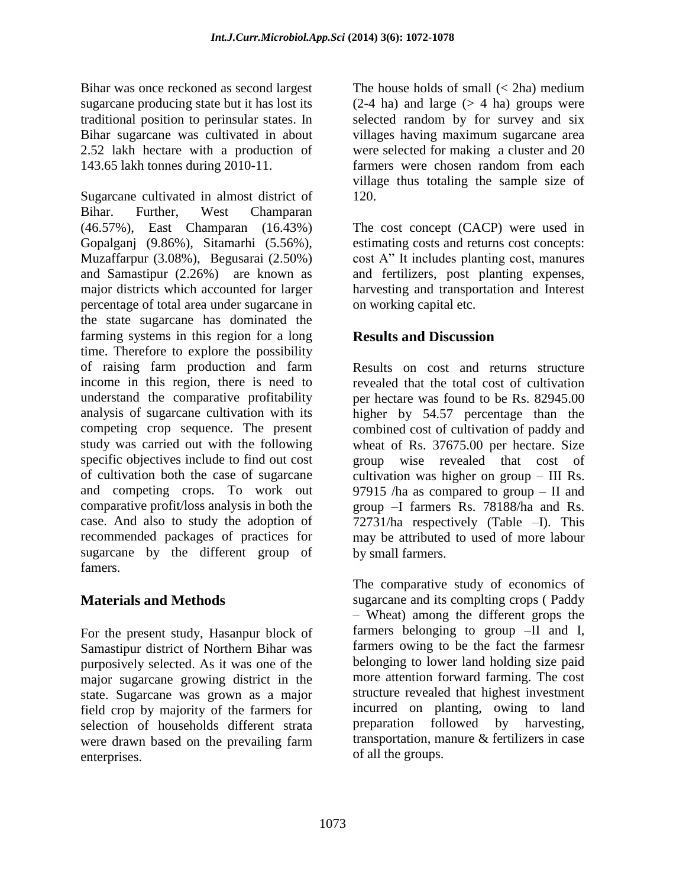Bihar was once reckoned as second largest sugarcane producing state but it has lost its traditional position to perinsular states. In Bihar sugarcane was cultivated in about 2.52 lakh hectare with a production of 143.65 lakh tonnes during 2010-11.

Sugarcane cultivated in almost district of Bihar. Further, West Champaran (46.57%), East Champaran (16.43%) Gopalganj (9.86%), Sitamarhi (5.56%), Muzaffarpur (3.08%), Begusarai (2.50%) and Samastipur (2.26%) are known as major districts which accounted for larger percentage of total area under sugarcane in the state sugarcane has dominated the farming systems in this region for a long time. Therefore to explore the possibility of raising farm production and farm income in this region, there is need to understand the comparative profitability analysis of sugarcane cultivation with its competing crop sequence. The present study was carried out with the following specific objectives include to find out cost of cultivation both the case of sugarcane and competing crops. To work out comparative profit/loss analysis in both the case. And also to study the adoption of recommended packages of practices for sugarcane by the different group of famers.

# **Materials and Methods**

For the present study, Hasanpur block of Samastipur district of Northern Bihar was purposively selected. As it was one of the major sugarcane growing district in the state. Sugarcane was grown as a major field crop by majority of the farmers for selection of households different strata were drawn based on the prevailing farm enterprises.

The house holds of small  $(< 2ha$ ) medium  $(2-4)$  ha) and large  $(> 4)$  ha) groups were selected random by for survey and six villages having maximum sugarcane area were selected for making a cluster and 20 farmers were chosen random from each village thus totaling the sample size of 120.

The cost concept (CACP) were used in estimating costs and returns cost concepts: cost A" It includes planting cost, manures and fertilizers, post planting expenses, harvesting and transportation and Interest on working capital etc.

# **Results and Discussion**

Results on cost and returns structure revealed that the total cost of cultivation per hectare was found to be Rs. 82945.00 higher by 54.57 percentage than the combined cost of cultivation of paddy and wheat of Rs. 37675.00 per hectare. Size group wise revealed that cost of cultivation was higher on group – III Rs. 97915 /ha as compared to group – II and group –I farmers Rs. 78188/ha and Rs. 72731/ha respectively (Table –I). This may be attributed to used of more labour by small farmers.

The comparative study of economics of sugarcane and its complting crops ( Paddy – Wheat) among the different grops the farmers belonging to group –II and I, farmers owing to be the fact the farmesr belonging to lower land holding size paid more attention forward farming. The cost structure revealed that highest investment incurred on planting, owing to land preparation followed by harvesting, transportation, manure & fertilizers in case of all the groups.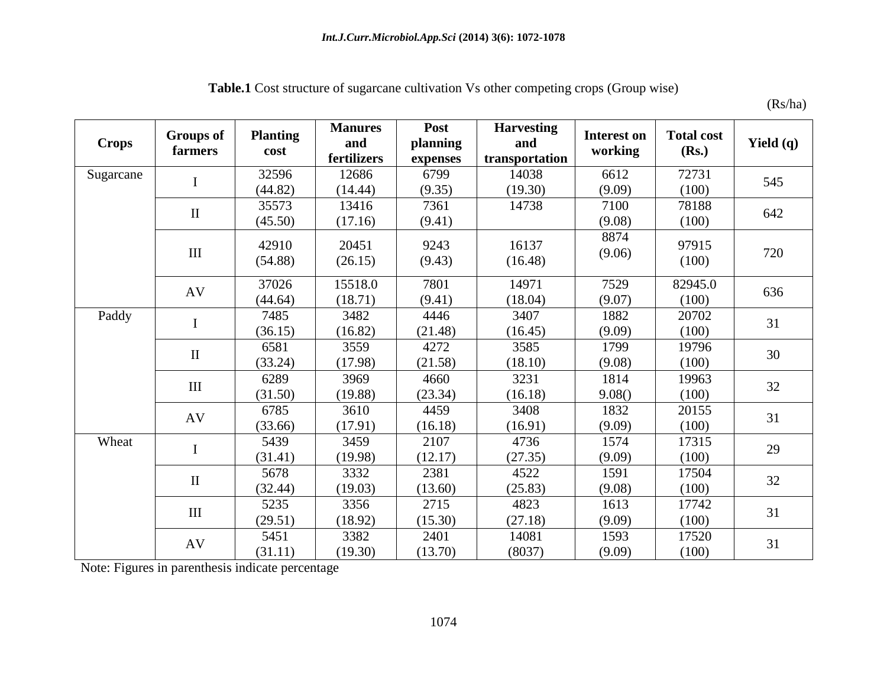**Table.1** Cost structure of sugarcane cultivation Vs other competing crops (Group wise)

(Rs/ha)

| <b>Crops</b> | <b>Groups</b> of<br>farmers | <b>Planting</b><br>cost | <b>Manures</b><br>and<br>fertilizers | <b>Post</b><br>planning<br>expenses | <b>Harvesting</b><br>and<br>transportation | <b>Interest on</b><br>working | <b>Total cost</b><br>(Rs.) | Yield $(q)$ |  |
|--------------|-----------------------------|-------------------------|--------------------------------------|-------------------------------------|--------------------------------------------|-------------------------------|----------------------------|-------------|--|
| Sugarcane    | $\mathbf I$                 | 32596<br>(44.82)        | 12686                                | 6799                                | 14038                                      | 6612                          | 72731                      | 545         |  |
|              |                             |                         | (14.44)                              | (9.35)                              | (19.30)                                    | (9.09)                        | (100)                      |             |  |
|              | $\rm II$                    | 35573                   | 13416                                | 7361                                | 14738                                      | 7100                          | 78188                      | 642         |  |
|              |                             | (45.50)                 | (17.16)                              | (9.41)                              |                                            | (9.08)                        | (100)                      |             |  |
|              | $\rm III$                   | 42910<br>(54.88)        | 20451<br>(26.15)                     | 9243<br>(9.43)                      | 16137<br>(16.48)                           | 8874<br>(9.06)                | 97915<br>(100)             | 720         |  |
|              |                             | 37026                   | 15518.0                              | 7801                                | 14971                                      | 7529                          | 82945.0                    |             |  |
|              | $\mathbf{A}\mathbf{V}$      | (44.64)                 | (18.71)                              | (9.41)                              | (18.04)                                    | (9.07)                        | (100)                      | 636         |  |
| Paddy        |                             | 7485                    | 3482                                 | 4446                                | 3407                                       | 1882                          | 20702                      | 31          |  |
|              | $\bf I$                     | (36.15)                 | (16.82)                              | (21.48)                             | (16.45)                                    | (9.09)                        | (100)                      |             |  |
|              |                             | 6581                    | 3559                                 | 4272                                | 3585                                       | 1799                          | 19796                      | 30          |  |
|              | $\mathbf{I}$                | (33.24)                 | (17.98)                              | (21.58)                             | (18.10)                                    | (9.08)                        | (100)                      |             |  |
|              |                             | 6289                    | 3969                                 | 4660                                | 3231                                       | 1814                          | 19963                      |             |  |
|              | $\rm III$                   | (31.50)                 | (19.88)                              | (23.34)                             | (16.18)                                    | 9.08()                        | (100)                      | 32          |  |
|              | AV                          | 6785                    | 3610                                 | 4459                                | 3408                                       | 1832                          | 20155                      | 31          |  |
|              |                             | (33.66)                 | (17.91)                              | (16.18)                             | (16.91)                                    | (9.09)                        | (100)                      |             |  |
| Wheat        | $\mathbf I$                 | 5439                    | 3459                                 | 2107                                | 4736                                       | 1574                          | 17315                      | 29          |  |
|              |                             | (31.41)                 | (19.98)                              | (12.17)                             | (27.35)                                    | (9.09)                        | (100)                      |             |  |
|              | $\mathbf{I}$                | 5678                    | 3332                                 | 2381                                | 4522                                       | 1591                          | 17504                      | 32          |  |
|              |                             | (32.44)                 | (19.03)                              | (13.60)                             | (25.83)                                    | (9.08)                        | (100)                      |             |  |
|              | $\rm III$                   | 5235                    | 3356                                 | 2715                                | 4823                                       | 1613                          | 17742                      | 31          |  |
|              |                             | (29.51)                 | (18.92)                              | (15.30)                             | (27.18)                                    | (9.09)                        | (100)                      |             |  |
|              |                             | 5451                    | 3382                                 | 2401                                | 14081                                      | 1593                          | 17520                      | 31          |  |
|              | $\mathbf{A}\mathbf{V}$      | (31.11)                 | (19.30)                              | (13.70)                             | (8037)                                     | (9.09)                        | (100)                      |             |  |

Note: Figures in parenthesis indicate percentage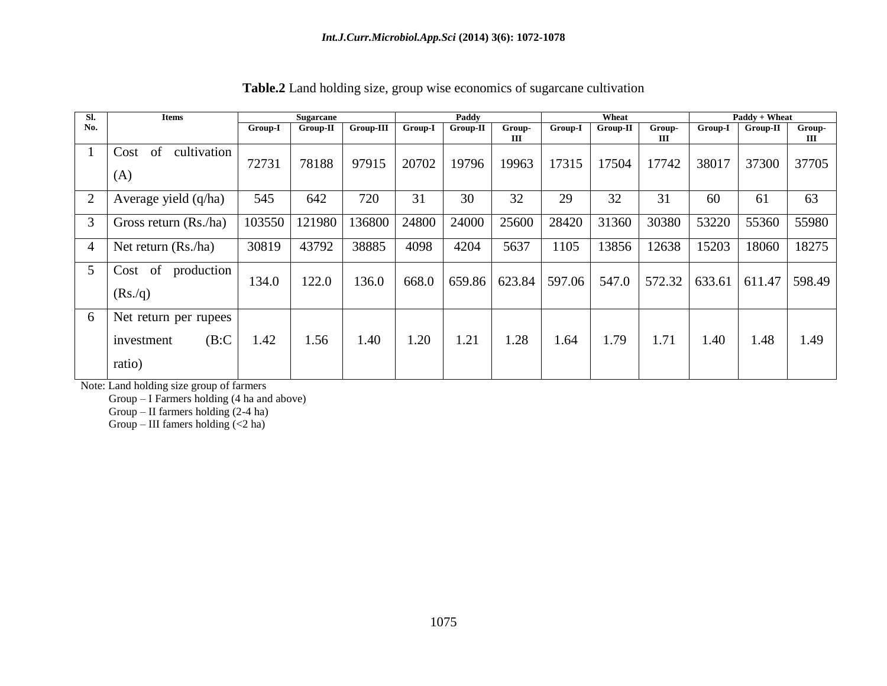| SI.            | <b>Items</b>                                           | <b>Sugarcane</b> |            | Paddy     |         |          | Wheat       |         |          | Paddy + Wheat |         |          |             |
|----------------|--------------------------------------------------------|------------------|------------|-----------|---------|----------|-------------|---------|----------|---------------|---------|----------|-------------|
| No.            |                                                        | <b>Group-I</b>   | $Group-II$ | Group-III | Group-I | Group-II | Group-<br>Ш | Group-I | Group-II | Group-<br>Ш   | Group-I | Group-II | Group-<br>Ш |
|                | of<br>cultivation<br>Cost<br>(A)                       | 72731            | 78188      | 97915     | 20702   | 19796    | 19963       | 17315   | 17504    | 17742         | 38017   | 37300    | 37705       |
| $\overline{2}$ | Average yield (q/ha)                                   | 545              | 642        | 720       | 31      | 30       | 32          | 29      | 32       | 31            | 60      | 61       | 63          |
| 3              | Gross return (Rs./ha)                                  | 103550           | 121980     | 136800    | 24800   | 24000    | 25600       | 28420   | 31360    | 30380         | 53220   | 55360    | 55980       |
| $\overline{4}$ | Net return $(Rs/ha)$                                   | 30819            | 43792      | 38885     | 4098    | 4204     | 5637        | 1105    | 13856    | 12638         | 15203   | 18060    | 18275       |
| 5              | of<br>production<br>Cost<br>(Rs./q)                    | 134.0            | 122.0      | 136.0     | 668.0   | 659.86   | 623.84      | 597.06  | 547.0    | 572.32        | 633.61  | 611.47   | 598.49      |
| 6              | Net return per rupees<br>(B:C)<br>investment<br>ratio) | 1.42             | 1.56       | 1.40      | 1.20    | 1.21     | 1.28        | 1.64    | 1.79     | 1.71          | 1.40    | 1.48     | 1.49        |

## **Table.2** Land holding size, group wise economics of sugarcane cultivation

Note: Land holding size group of farmers

Group – I Farmers holding (4 ha and above)

Group – II farmers holding (2-4 ha)

Group – III famers holding  $\left($  < 2 ha)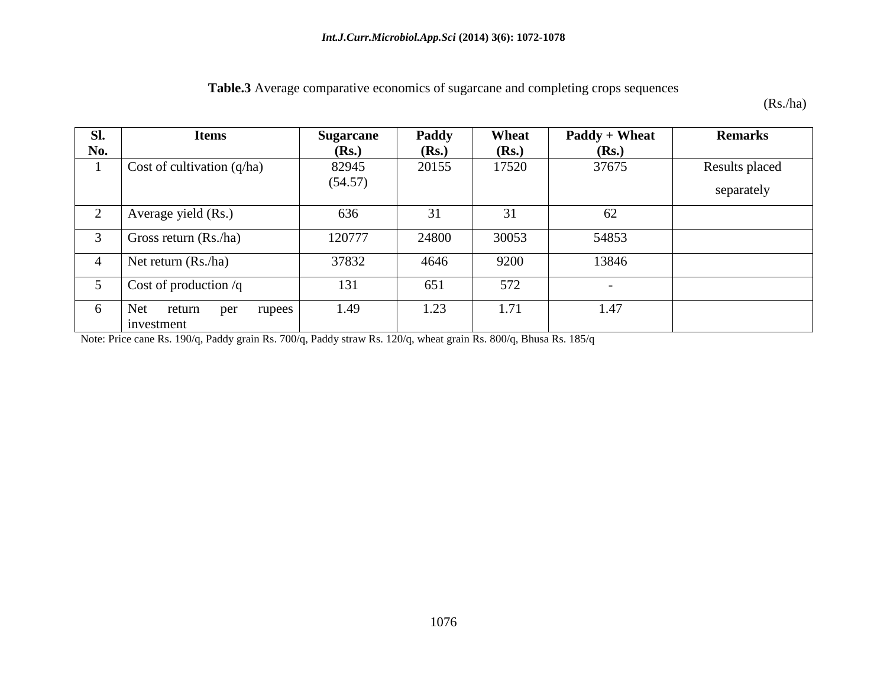**Table.3** Average comparative economics of sugarcane and completing crops sequences

(Rs./ha)

| SI.            | <b>Items</b>                                        | <b>Sugarcane</b> | Paddy          | Wheat | Paddy + Wheat            | <b>Remarks</b>               |  |
|----------------|-----------------------------------------------------|------------------|----------------|-------|--------------------------|------------------------------|--|
| No.            |                                                     | (Rs.)            | (Rs.)<br>(Rs.) |       | (Rs.)                    |                              |  |
|                | Cost of cultivation $(q/ha)$                        | 82945<br>(54.57) | 20155          | 17520 | 37675                    | Results placed<br>separately |  |
| 2              | Average yield (Rs.)                                 | 636              | 31             | 31    | 62                       |                              |  |
| 3              | Gross return (Rs./ha)                               | 120777           | 24800          | 30053 | 54853                    |                              |  |
| $\overline{4}$ | Net return $(Rs/ha)$                                | 37832            | 4646           | 9200  | 13846                    |                              |  |
| 5              | Cost of production $/q$                             | 131              | 651            | 572   | $\overline{\phantom{a}}$ |                              |  |
| 6              | <b>Net</b><br>return<br>per<br>rupees<br>investment | 1.49             | 1.23           | 1.71  | 1.47                     |                              |  |

Note: Price cane Rs. 190/q, Paddy grain Rs. 700/q, Paddy straw Rs. 120/q, wheat grain Rs. 800/q, Bhusa Rs. 185/q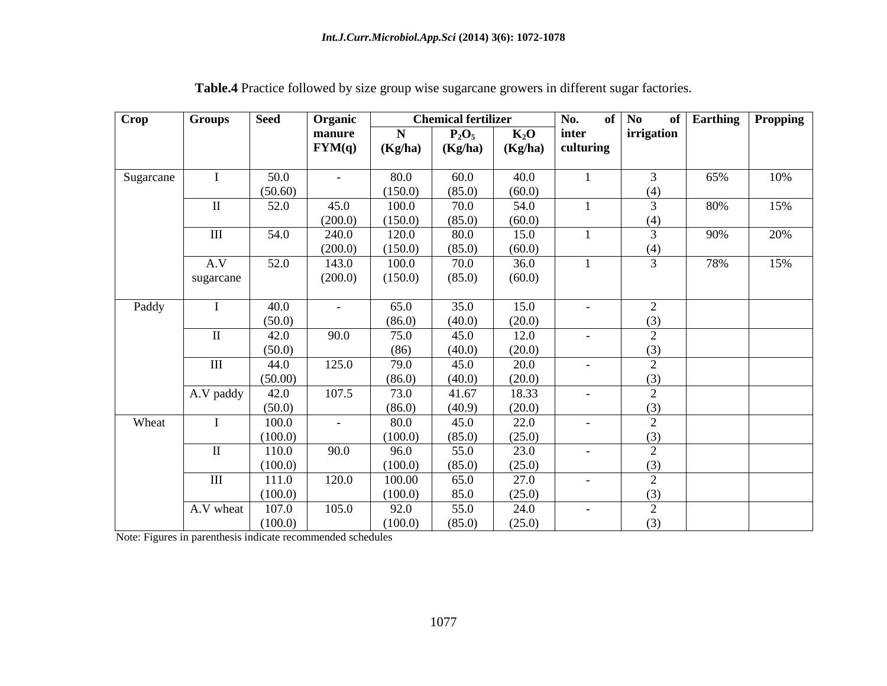| <b>Crop</b> | <b>Groups</b> | <b>Seed</b> | Organic                  | <b>Chemical fertilizer</b> |          |         | No.<br><b>of</b>         | N <sub>o</sub><br><b>of</b> | <b>Earthing</b> | <b>Propping</b> |
|-------------|---------------|-------------|--------------------------|----------------------------|----------|---------|--------------------------|-----------------------------|-----------------|-----------------|
|             |               |             | manure                   | N                          | $P_2O_5$ | $K_2O$  | inter                    | irrigation                  |                 |                 |
|             |               |             | FYM(q)                   | (Kg/ha)                    | (Kg/ha)  | (Kg/ha) | culturing                |                             |                 |                 |
|             |               |             |                          |                            |          |         |                          |                             |                 |                 |
| Sugarcane   | $\mathbf I$   | 50.0        |                          | 80.0                       | 60.0     | 40.0    | $\mathbf{1}$             | 3                           | 65%             | 10%             |
|             |               | (50.60)     |                          | (150.0)                    | (85.0)   | (60.0)  |                          | (4)                         |                 |                 |
|             | $\mathbf{I}$  | 52.0        | 45.0                     | 100.0                      | 70.0     | 54.0    | $\mathbf{1}$             | $\overline{3}$              | 80%             | 15%             |
|             |               |             | (200.0)                  | (150.0)                    | (85.0)   | (60.0)  |                          | (4)                         |                 |                 |
|             | $\rm III$     | 54.0        | 240.0                    | 120.0                      | 80.0     | 15.0    | $\mathbf{1}$             | $\overline{3}$              | 90%             | 20%             |
|             |               |             | (200.0)                  | (150.0)                    | (85.0)   | (60.0)  |                          | (4)                         |                 |                 |
|             | A.V           | 52.0        | 143.0                    | 100.0                      | 70.0     | 36.0    | $\mathbf{1}$             | $\overline{3}$              | 78%             | 15%             |
|             | sugarcane     |             | (200.0)                  | (150.0)                    | (85.0)   | (60.0)  |                          |                             |                 |                 |
|             |               |             |                          |                            |          |         |                          |                             |                 |                 |
| Paddy       | I             | 40.0        |                          | 65.0                       | 35.0     | 15.0    |                          | $\overline{2}$              |                 |                 |
|             |               | (50.0)      |                          | (86.0)                     | (40.0)   | (20.0)  |                          | (3)                         |                 |                 |
|             | $\mathbf{I}$  | 42.0        | 90.0                     | 75.0                       | 45.0     | 12.0    |                          | $\overline{2}$              |                 |                 |
|             |               | (50.0)      |                          | (86)                       | (40.0)   | (20.0)  |                          | (3)                         |                 |                 |
|             | $\rm III$     | 44.0        | 125.0                    | 79.0                       | 45.0     | 20.0    |                          | $\overline{2}$              |                 |                 |
|             |               | (50.00)     |                          | (86.0)                     | (40.0)   | (20.0)  |                          | (3)                         |                 |                 |
|             | A.V paddy     | 42.0        | 107.5                    | 73.0                       | 41.67    | 18.33   |                          | $\overline{2}$              |                 |                 |
|             |               | (50.0)      |                          | (86.0)                     | (40.9)   | (20.0)  |                          | (3)                         |                 |                 |
| Wheat       | I             | 100.0       | $\overline{\phantom{0}}$ | 80.0                       | 45.0     | 22.0    |                          | $\overline{2}$              |                 |                 |
|             |               | (100.0)     |                          | (100.0)                    | (85.0)   | (25.0)  |                          | (3)                         |                 |                 |
|             | $\mathbf{I}$  | 110.0       | 90.0                     | 96.0                       | 55.0     | 23.0    | $\overline{\phantom{a}}$ | $\overline{2}$              |                 |                 |
|             |               | (100.0)     |                          | (100.0)                    | (85.0)   | (25.0)  |                          | (3)                         |                 |                 |
|             | $\rm III$     | 111.0       | 120.0                    | 100.00                     | 65.0     | 27.0    |                          | $\overline{2}$              |                 |                 |
|             |               | (100.0)     |                          | (100.0)                    | 85.0     | (25.0)  |                          | (3)                         |                 |                 |
|             | A.V wheat     | 107.0       | 105.0                    | 92.0                       | 55.0     | 24.0    |                          | $\overline{2}$              |                 |                 |
|             |               | (100.0)     |                          | (100.0)                    | (85.0)   | (25.0)  |                          | (3)                         |                 |                 |

**Table.4** Practice followed by size group wise sugarcane growers in different sugar factories.

Note: Figures in parenthesis indicate recommended schedules